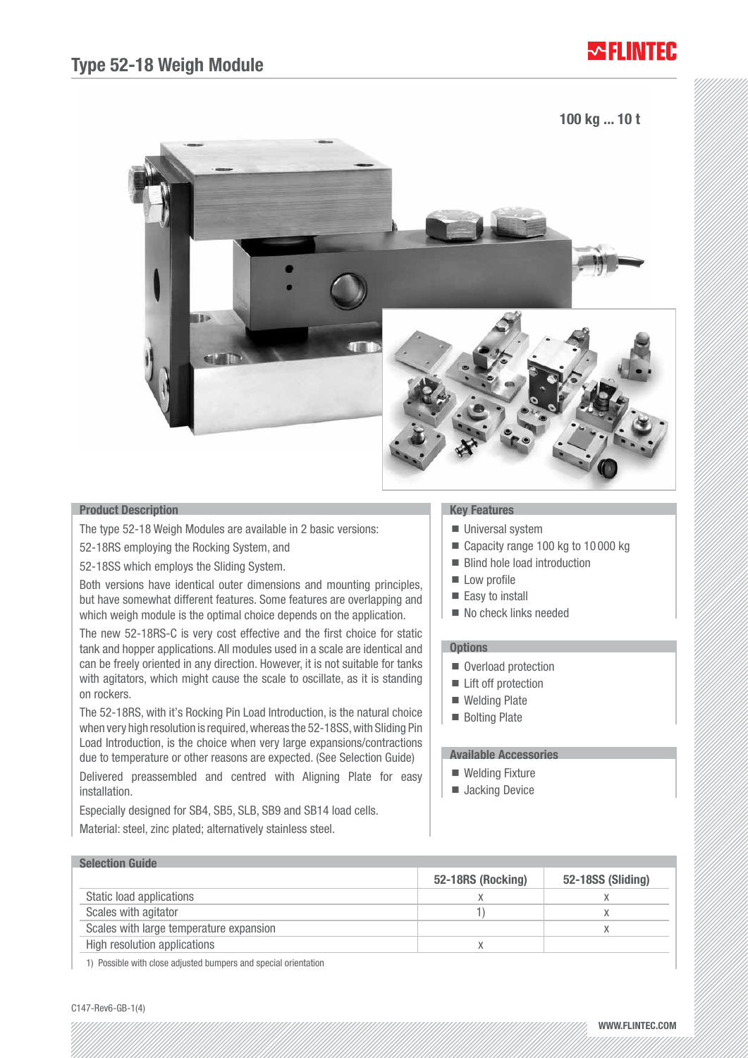## ₩FI INTFR

## 100 kg ... 10 t



### Product Description

The type 52-18 Weigh Modules are available in 2 basic versions:

52-18RS employing the Rocking System, and

52-18SS which employs the Sliding System.

Both versions have identical outer dimensions and mounting principles, but have somewhat different features. Some features are overlapping and which weigh module is the optimal choice depends on the application.

The new 52-18RS-C is very cost effective and the first choice for static tank and hopper applications. All modules used in a scale are identical and can be freely oriented in any direction. However, it is not suitable for tanks with agitators, which might cause the scale to oscillate, as it is standing on rockers.

The 52-18RS, with it's Rocking Pin Load Introduction, is the natural choice when very high resolution is required, whereas the 52-18SS, with Sliding Pin Load Introduction, is the choice when very large expansions/contractions due to temperature or other reasons are expected. (See Selection Guide)

Delivered preassembled and centred with Aligning Plate for easy installation.

Especially designed for SB4, SB5, SLB, SB9 and SB14 load cells. Material: steel, zinc plated; alternatively stainless steel.

### Key Features

- **Universal system**
- Capacity range 100 kg to 10 000 kg
- Blind hole load introduction
- **Low profile**
- Easy to install
- No check links needed

#### **Options**

- Overload protection
- Lift off protection
- Welding Plate
- **Bolting Plate**

## Available Accessories

- Welding Fixture
- **Jacking Device**

| <b>Selection Guide</b>                  |                   |                   |
|-----------------------------------------|-------------------|-------------------|
|                                         | 52-18RS (Rocking) | 52-18SS (Sliding) |
| Static load applications                |                   |                   |
| Scales with agitator                    |                   |                   |
| Scales with large temperature expansion |                   |                   |
| High resolution applications            |                   |                   |

1) Possible with close adjusted bumpers and special orientation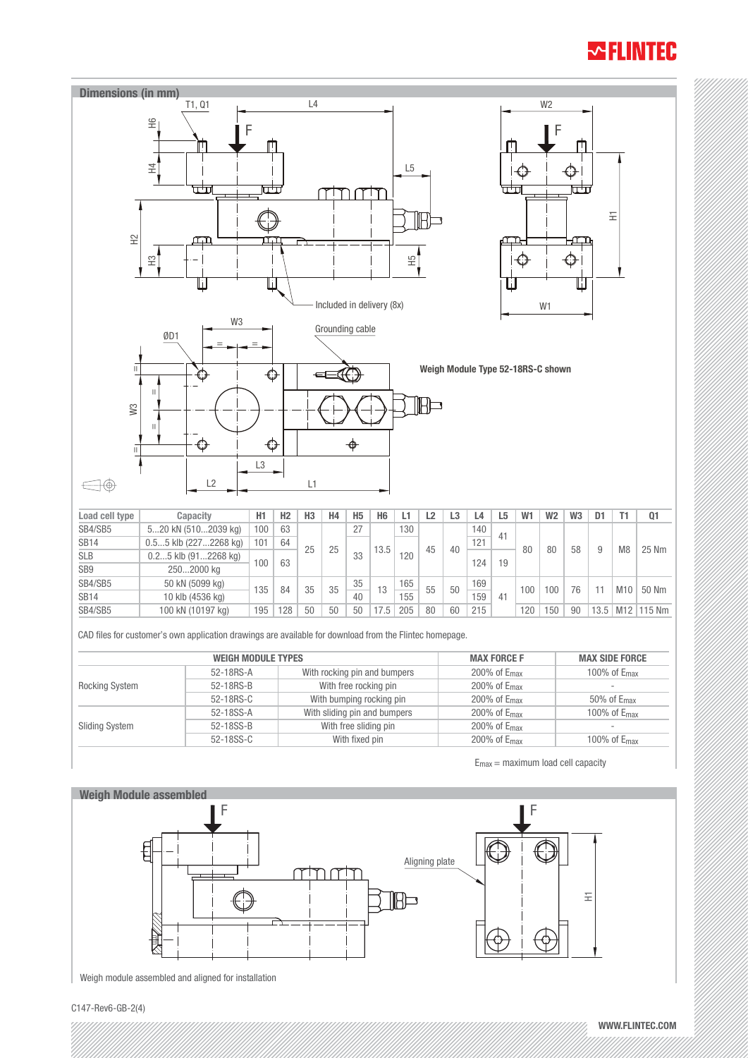# **WELINTEC**



| $U,UU$ NIV $\{LLILLUU$ NIJ | 101 | U+         |          |          |          |    |            |    |          | $\sqrt{2}$ |     |     |           |           |          | 25 Nm                    |
|----------------------------|-----|------------|----------|----------|----------|----|------------|----|----------|------------|-----|-----|-----------|-----------|----------|--------------------------|
| $0.25$ klb $(912268$ kg)   |     |            |          |          | 33       |    | 120        |    |          |            |     |     |           |           |          |                          |
| 2502000 kg                 |     |            |          |          |          |    |            |    |          |            |     |     |           |           |          |                          |
| 50 kN (5099 kg)            |     |            |          |          | 35       |    | 165        |    |          | 169        |     |     |           |           |          | 50 Nm                    |
| 10 klb (4536 kg)           |     |            |          |          | 40       |    | 155        |    |          | 159        | 41  |     |           |           |          |                          |
| 100 kN (10197 kg)          | 195 | 128        | 50       | 50       | 50       | 75 | 205        | 80 | 60       | 215        |     | 120 | 150       | 90        |          | M <sub>12</sub>   115 Nm |
|                            |     | 100<br>135 | 63<br>84 | 25<br>35 | 25<br>35 |    | 13.5<br>13 |    | 45<br>55 | 40<br>50   | 124 | 19  | 80<br>100 | 80<br>100 | 58<br>76 | M8<br>M10<br>13.5        |

CAD files for customer's own application drawings are available for download from the Flintec homepage.

|                       | <b>WEIGH MODULE TYPES</b> | <b>MAX FORCE F</b>           | <b>MAX SIDE FORCE</b>    |                           |  |  |
|-----------------------|---------------------------|------------------------------|--------------------------|---------------------------|--|--|
| <b>Rocking System</b> | 52-18RS-A                 | With rocking pin and bumpers | 200% of E <sub>max</sub> | 100\% of $E_{\text{max}}$ |  |  |
|                       | 52-18RS-B                 | With free rocking pin        | 200% of E <sub>max</sub> | $\overline{\phantom{a}}$  |  |  |
|                       | 52-18RS-C                 | With bumping rocking pin     | 200% of E <sub>max</sub> | $50\%$ of $E_{max}$       |  |  |
| <b>Sliding System</b> | 52-18SS-A                 | With sliding pin and bumpers | 200% of E <sub>max</sub> | 100% of E <sub>max</sub>  |  |  |
|                       | 52-18SS-B                 | With free sliding pin        | 200% of $E_{\text{max}}$ | $\overline{\phantom{a}}$  |  |  |
|                       | 52-18SS-C                 | With fixed pin               | 200% of E <sub>max</sub> | 100% of $E_{\text{max}}$  |  |  |

 $E_{\text{max}} =$  maximum load cell capacity



Weigh module assembled and aligned for installation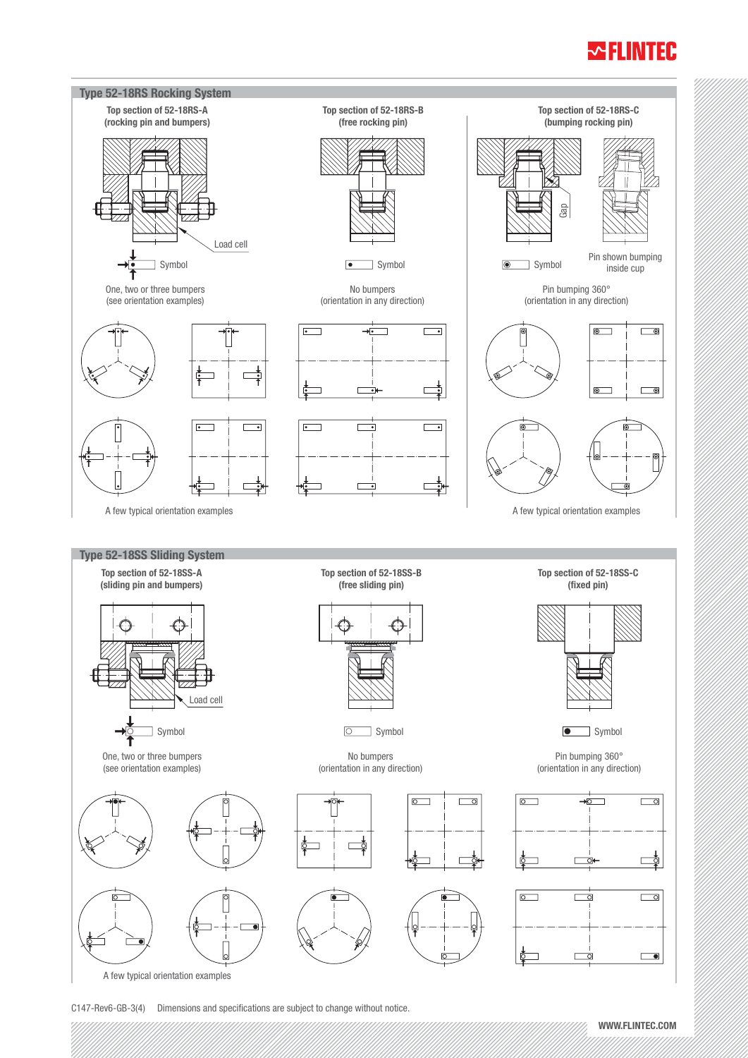## **WELINTEC**



C147-Rev6-GB-3(4) Dimensions and specifications are subject to change without notice.